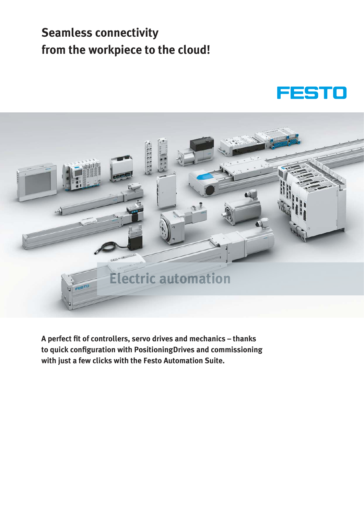# **Seamless connectivity from the workpiece to the cloud!**





**A perfect fit of controllers, servo drives and mechanics – thanks to quick configuration with PositioningDrives and commissioning with just a few clicks with the Festo Automation Suite.**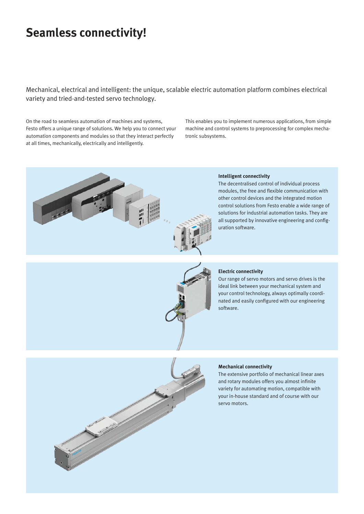# **Seamless connectivity!**

Mechanical, electrical and intelligent: the unique, scalable electric automation platform combines electrical variety and tried-and-tested servo technology.

On the road to seamless automation of machines and systems, Festo offers a unique range of solutions. We help you to connect your automation components and modules so that they interact perfectly at all times, mechanically, electrically and intelligently.

This enables you to implement numerous applications, from simple machine and control systems to preprocessing for complex mechatronic subsystems.



#### **Intelligent connectivity**

The decentralised control of individual process modules, the free and flexible communication with other control devices and the integrated motion control solutions from Festo enable a wide range of solutions for industrial automation tasks. They are all supported by innovative engineering and configuration software.



#### **Electric connectivity**

Our range of servo motors and servo drives is the ideal link between your mechanical system and your control technology, always optimally coordinated and easily configured with our engineering software.



The extensive portfolio of mechanical linear axes and rotary modules offers you almost infinite variety for automating motion, compatible with your in-house standard and of course with our servo motors.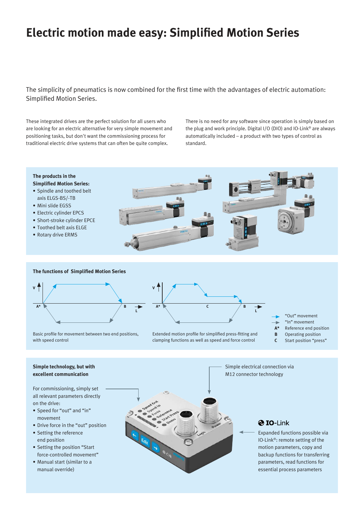# **Electric motion made easy: Simplified Motion Series**

The simplicity of pneumatics is now combined for the first time with the advantages of electric automation: Simplified Motion Series.

These integrated drives are the perfect solution for all users who are looking for an electric alternative for very simple movement and positioning tasks, but don't want the commissioning process for traditional electric drive systems that can often be quite complex.

There is no need for any software since operation is simply based on the plug and work principle. Digital I/O (DIO) and IO-Link® are always automatically included – a product with two types of control as standard.



#### **Simple technology, but with excellent communication**

For commissioning, simply set all relevant parameters directly on the drive:

- Speed for "out" and "in" movement
- Drive force in the "out" position
- Setting the reference end position
- Setting the position "Start force-controlled movement"
- Manual start (similar to a manual override)



Simple electrical connection via M12 connector technology

### **@ IO-Link**

Expanded functions possible via IO-Link®: remote setting of the motion parameters, copy and backup functions for transferring parameters, read functions for essential process parameters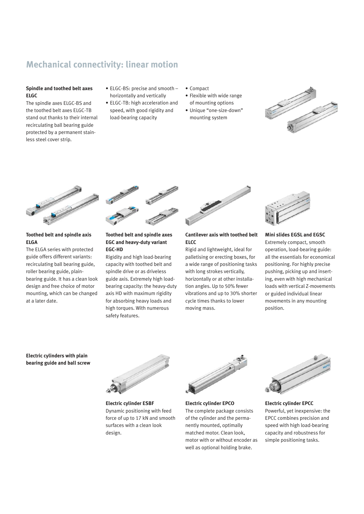# **Mechanical connectivity: linear motion**

#### **Spindle and toothed belt axes ELGC**

The spindle axes ELGC-BS and the toothed belt axes ELGC-TB stand out thanks to their internal recirculating ball bearing guide protected by a permanent stainless steel cover strip.

- ELGC-BS: precise and smooth horizontally and vertically
- ELGC-TB: high acceleration and speed, with good rigidity and load-bearing capacity
- Compact
- Flexible with wide range of mounting options
- Unique "one-size-down" mounting system





#### **Toothed belt and spindle axis ELGA**

The ELGA series with protected guide offers different variants: recirculating ball bearing guide, roller bearing guide, plainbearing guide. It has a clean look design and free choice of motor mounting, which can be changed at a later date.



#### **Toothed belt and spindle axes EGC and heavy-duty variant EGC-HD**

Rigidity and high load-bearing capacity with toothed belt and spindle drive or as driveless guide axis. Extremely high loadbearing capacity: the heavy-duty axis HD with maximum rigidity for absorbing heavy loads and high torques. With numerous safety features.



#### **Cantilever axis with toothed belt ELCC**

Rigid and lightweight, ideal for palletising or erecting boxes, for a wide range of positioning tasks with long strokes vertically, horizontally or at other installation angles. Up to 50% fewer vibrations and up to 30% shorter cycle times thanks to lower moving mass.



### **Mini slides EGSL and EGSC**

Extremely compact, smooth operation, load-bearing guide: all the essentials for economical positioning. For highly precise pushing, picking up and inserting, even with high mechanical loads with vertical Z-movements or guided individual linear movements in any mounting position.

**Electric cylinders with plain bearing guide and ball screw**



**Electric cylinder ESBF** Dynamic positioning with feed force of up to 17 kN and smooth surfaces with a clean look design.



**Electric cylinder EPCO** The complete package consists of the cylinder and the permanently mounted, optimally matched motor. Clean look, motor with or without encoder as well as optional holding brake.



**Electric cylinder EPCC** Powerful, yet inexpensive: the EPCC combines precision and speed with high load-bearing capacity and robustness for simple positioning tasks.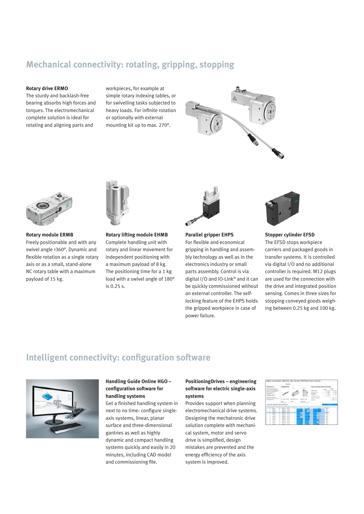## **Mechanical connectivity: rotating, gripping, stopping**

#### **Rotary drive ERMO**

The sturdy and backlash-free bearing absorbs high forces and torques. The electromechanical complete solution is ideal for rotating and aligning parts and

workpieces, for example at simple rotary indexing tables, or for swivelling tasks subjected to heavy loads. For infinite rotation or optionally with external mounting kit up to max. 270°.





**Rotary module ERMB** Freely positionable and with any swivel angle >360°. Dynamic and flexible rotation as a single rotary axis or as a small, stand-alone NC rotary table with a maximum payload of 15 kg.



**Rotary lifting module EHMB** Complete handling unit with rotary and linear movement for independent positioning with a maximum payload of 8 kg. The positioning time for a 1 kg load with a swivel angle of 180° is 0.25 s.



power failure.

**Parallel gripper EHPS** For flexible and economical gripping in handling and assembly technology as well as in the electronics industry or small parts assembly. Control is via digital I/O and IO-Link® and it can be quickly commissioned without an external controller. The selflocking feature of the EHPS holds the gripped workpiece in case of



### **Stopper cylinder EFSD**

The EFSD stops workpiece carriers and packaged goods in transfer systems. It is controlled via digital I/O and no additional controller is required. M12 plugs are used for the connection with the drive and integrated position sensing. Comes in three sizes for stopping conveyed goods weighing between 0.25 kg and 100 kg.

### **Intelligent connectivity: configuration software**



#### **Handling Guide Online HGO – configuration software for handling systems**

Get a finished handling system in next to no time: configure singleaxis systems, linear, planar surface and three-dimensional gantries as well as highly dynamic and compact handling systems quickly and easily in 20 minutes, including CAD model and commissioning file.

#### **PositioningDrives – engineering software for electric single-axis systems**

Provides support when planning electromechanical drive systems. Designing the mechatronic drive solution complete with mechanical system, motor and servo drive is simplified, design mistakes are prevented and the energy efficiency of the axis system is improved.

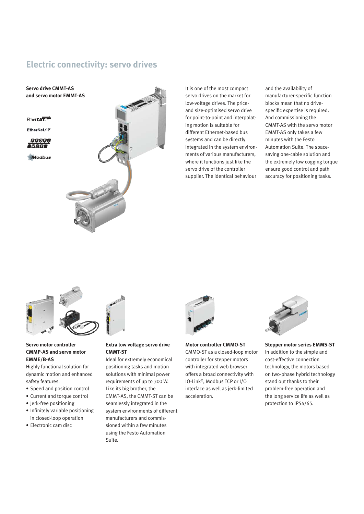### **Electric connectivity: servo drives**



It is one of the most compact servo drives on the market for low-voltage drives. The priceand size-optimised servo drive for point-to-point and interpolating motion is suitable for different Ethernet-based bus systems and can be directly integrated in the system environments of various manufacturers, where it functions just like the servo drive of the controller supplier. The identical behaviour

and the availability of manufacturer-specific function blocks mean that no drivespecific expertise is required. And commissioning the CMMT-AS with the servo motor EMMT-AS only takes a few minutes with the Festo Automation Suite. The spacesaving one-cable solution and the extremely low cogging torque ensure good control and path accuracy for positioning tasks.



#### **Servo motor controller CMMP-AS and servo motor EMME/B-AS**

Highly functional solution for dynamic motion and enhanced safety features.

- Speed and position control
- Current and torque control
- Jerk-free positioning
- Infinitely variable positioning in closed-loop operation
- Electronic cam disc



#### **Extra low voltage servo drive CMMT-ST**

Ideal for extremely economical positioning tasks and motion solutions with minimal power requirements of up to 300 W. Like its big brother, the CMMT-AS, the CMMT-ST can be seamlessly integrated in the system environments of different manufacturers and commissioned within a few minutes using the Festo Automation Suite.



**Motor controller CMMO-ST** CMMO-ST as a closed-loop motor controller for stepper motors with integrated web browser offers a broad connectivity with IO-Link®, Modbus TCP or I/O interface as well as jerk-limited acceleration.



**Stepper motor series EMMS-ST** In addition to the simple and cost-effective connection technology, the motors based on two-phase hybrid technology stand out thanks to their problem-free operation and the long service life as well as protection to IP54/65.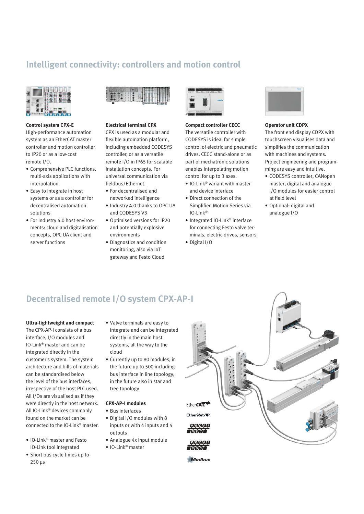# **Intelligent connectivity: controllers and motion control**



#### **Control system CPX-E**

High-performance automation system as an EtherCAT master controller and motion controller to IP20 or as a low-cost remote I/O.

- Comprehensive PLC functions, multi-axis applications with interpolation
- Easy to integrate in host systems or as a controller for decentralised automation solutions
- For Industry 4.0 host environments: cloud and digitalisation concepts, OPC UA client and server functions



#### **Electrical terminal CPX**

CPX is used as a modular and flexible automation platform, including embedded CODESYS controller, or as a versatile remote I/O in IP65 for scalable installation concepts. For universal communication via fieldbus/Ethernet.

- For decentralised and
- networked intelligence • Industry 4.0 thanks to OPC UA
- and CODESYS V3 • Optimised versions for IP20
- and potentially explosive environments • Diagnostics and condition
- monitoring, also via IoT gateway and Festo Cloud



#### **Compact controller CECC**

The versatile controller with CODESYS is ideal for simple control of electric and pneumatic drives. CECC stand-alone or as part of mechatronic solutions enables interpolating motion control for up to 3 axes.

- IO-Link® variant with master and device interface
- Direct connection of the Simplified Motion Series via IO-Link®
- Integrated IO-Link® interface for connecting Festo valve terminals, electric drives, sensors
- Digital I/O



#### **Operator unit CDPX**

The front end display CDPX with touchscreen visualises data and simplifies the communication with machines and systems. Project engineering and programming are easy and intuitive.

- CODESYS controller, CANopen master, digital and analogue I/O modules for easier control at field level
- Optional: digital and analogue I/O

# **Decentralised remote I/O system CPX-AP-I**

**Ultra-lightweight and compact** The CPX-AP-I consists of a bus interface, I/O modules and IO-Link® master and can be integrated directly in the customer's system. The system architecture and bills of materials can be standardised below the level of the bus interfaces, irrespective of the host PLC used. All I/Os are visualised as if they were directly in the host network. All IO-Link® devices commonly found on the market can be connected to the IO-Link® master.

- IO-Link® master and Festo IO-Link tool integrated
- Short bus cycle times up to 250 µs
- Valve terminals are easy to integrate and can be integrated directly in the main host systems, all the way to the cloud
- Currently up to 80 modules, in the future up to 500 including bus interface in line topology, in the future also in star and tree topology

#### **CPX-AP-I modules**

- Bus interfaces
- Digital I/O modules with 8 inputs or with 4 inputs and 4 outputs
- Analogue 4x input module
- IO-Link® master



**Modbus**